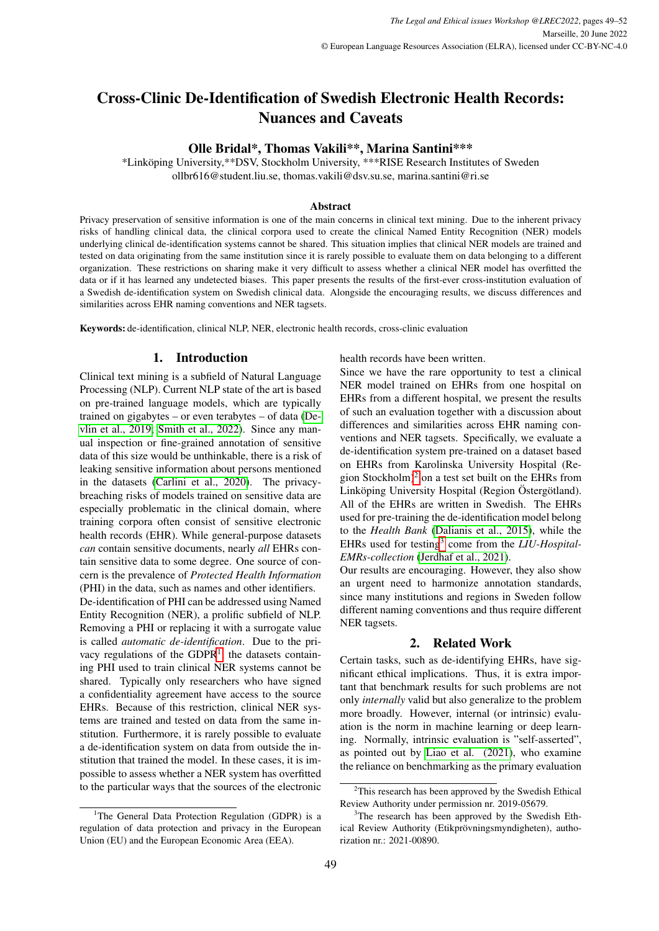# Cross-Clinic De-Identification of Swedish Electronic Health Records: Nuances and Caveats

## Olle Bridal\*, Thomas Vakili\*\*, Marina Santini\*\*\*

\*Linkoping University,\*\*DSV, Stockholm University, \*\*\*RISE Research Institutes of Sweden ¨ ollbr616@student.liu.se, thomas.vakili@dsv.su.se, marina.santini@ri.se

#### Abstract

Privacy preservation of sensitive information is one of the main concerns in clinical text mining. Due to the inherent privacy risks of handling clinical data, the clinical corpora used to create the clinical Named Entity Recognition (NER) models underlying clinical de-identification systems cannot be shared. This situation implies that clinical NER models are trained and tested on data originating from the same institution since it is rarely possible to evaluate them on data belonging to a different organization. These restrictions on sharing make it very difficult to assess whether a clinical NER model has overfitted the data or if it has learned any undetected biases. This paper presents the results of the first-ever cross-institution evaluation of a Swedish de-identification system on Swedish clinical data. Alongside the encouraging results, we discuss differences and similarities across EHR naming conventions and NER tagsets.

Keywords: de-identification, clinical NLP, NER, electronic health records, cross-clinic evaluation

# 1. Introduction

Clinical text mining is a subfield of Natural Language Processing (NLP). Current NLP state of the art is based on pre-trained language models, which are typically trained on gigabytes – or even terabytes – of data [\(De](#page-3-0)[vlin et al., 2019;](#page-3-0) [Smith et al., 2022\)](#page-3-1). Since any manual inspection or fine-grained annotation of sensitive data of this size would be unthinkable, there is a risk of leaking sensitive information about persons mentioned in the datasets [\(Carlini et al., 2020\)](#page-3-2). The privacybreaching risks of models trained on sensitive data are especially problematic in the clinical domain, where training corpora often consist of sensitive electronic health records (EHR). While general-purpose datasets *can* contain sensitive documents, nearly *all* EHRs contain sensitive data to some degree. One source of concern is the prevalence of *Protected Health Information* (PHI) in the data, such as names and other identifiers.

De-identification of PHI can be addressed using Named Entity Recognition (NER), a prolific subfield of NLP. Removing a PHI or replacing it with a surrogate value is called *automatic de-identification*. Due to the privacy regulations of the  $GDPR<sup>1</sup>$  $GDPR<sup>1</sup>$  $GDPR<sup>1</sup>$ , the datasets containing PHI used to train clinical NER systems cannot be shared. Typically only researchers who have signed a confidentiality agreement have access to the source EHRs. Because of this restriction, clinical NER systems are trained and tested on data from the same institution. Furthermore, it is rarely possible to evaluate a de-identification system on data from outside the institution that trained the model. In these cases, it is impossible to assess whether a NER system has overfitted to the particular ways that the sources of the electronic health records have been written.

Since we have the rare opportunity to test a clinical NER model trained on EHRs from one hospital on EHRs from a different hospital, we present the results of such an evaluation together with a discussion about differences and similarities across EHR naming conventions and NER tagsets. Specifically, we evaluate a de-identification system pre-trained on a dataset based on EHRs from Karolinska University Hospital (Region Stockholm)[2](#page-0-1) on a test set built on the EHRs from Linköping University Hospital (Region Östergötland). All of the EHRs are written in Swedish. The EHRs used for pre-training the de-identification model belong to the *Health Bank* [\(Dalianis et al., 2015\)](#page-3-3), while the EHRs used for testing<sup>[3](#page-0-2)</sup> come from the *LIU-Hospital-EMRs-collection* [\(Jerdhaf et al., 2021\)](#page-3-4).

Our results are encouraging. However, they also show an urgent need to harmonize annotation standards, since many institutions and regions in Sweden follow different naming conventions and thus require different NER tagsets.

#### 2. Related Work

Certain tasks, such as de-identifying EHRs, have significant ethical implications. Thus, it is extra important that benchmark results for such problems are not only *internally* valid but also generalize to the problem more broadly. However, internal (or intrinsic) evaluation is the norm in machine learning or deep learning. Normally, intrinsic evaluation is "self-asserted", as pointed out by [Liao et al. \(2021\)](#page-3-5), who examine the reliance on benchmarking as the primary evaluation

<span id="page-0-0"></span><sup>&</sup>lt;sup>1</sup>The General Data Protection Regulation (GDPR) is a regulation of data protection and privacy in the European Union (EU) and the European Economic Area (EEA).

<span id="page-0-1"></span> $2$ This research has been approved by the Swedish Ethical Review Authority under permission nr. 2019-05679.

<span id="page-0-2"></span> $3$ The research has been approved by the Swedish Ethical Review Authority (Etikprövningsmyndigheten), authorization nr.: 2021-00890.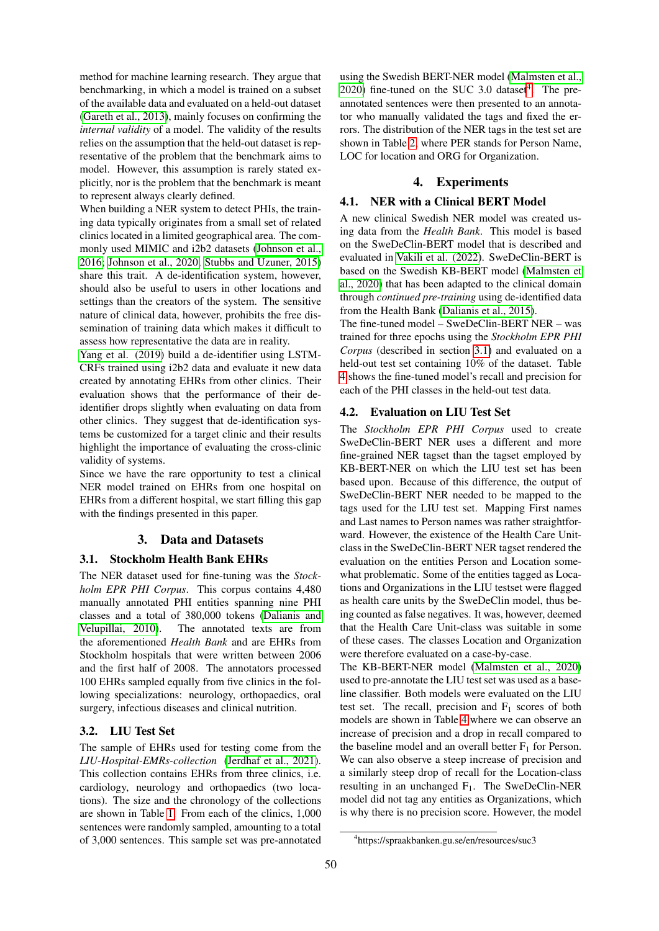method for machine learning research. They argue that benchmarking, in which a model is trained on a subset of the available data and evaluated on a held-out dataset [\(Gareth et al., 2013\)](#page-3-6), mainly focuses on confirming the *internal validity* of a model. The validity of the results relies on the assumption that the held-out dataset is representative of the problem that the benchmark aims to model. However, this assumption is rarely stated explicitly, nor is the problem that the benchmark is meant to represent always clearly defined.

When building a NER system to detect PHIs, the training data typically originates from a small set of related clinics located in a limited geographical area. The commonly used MIMIC and i2b2 datasets [\(Johnson et al.,](#page-3-7) [2016;](#page-3-7) [Johnson et al., 2020;](#page-3-8) [Stubbs and Uzuner, 2015\)](#page-3-9) share this trait. A de-identification system, however, should also be useful to users in other locations and settings than the creators of the system. The sensitive nature of clinical data, however, prohibits the free dissemination of training data which makes it difficult to assess how representative the data are in reality.

[Yang et al. \(2019\)](#page-3-10) build a de-identifier using LSTM-CRFs trained using i2b2 data and evaluate it new data created by annotating EHRs from other clinics. Their evaluation shows that the performance of their deidentifier drops slightly when evaluating on data from other clinics. They suggest that de-identification systems be customized for a target clinic and their results highlight the importance of evaluating the cross-clinic validity of systems.

Since we have the rare opportunity to test a clinical NER model trained on EHRs from one hospital on EHRs from a different hospital, we start filling this gap with the findings presented in this paper.

## 3. Data and Datasets

#### <span id="page-1-1"></span>3.1. Stockholm Health Bank EHRs

The NER dataset used for fine-tuning was the *Stockholm EPR PHI Corpus*. This corpus contains 4,480 manually annotated PHI entities spanning nine PHI classes and a total of 380,000 tokens [\(Dalianis and](#page-3-11) [Velupillai, 2010\)](#page-3-11). The annotated texts are from the aforementioned *Health Bank* and are EHRs from Stockholm hospitals that were written between 2006 and the first half of 2008. The annotators processed 100 EHRs sampled equally from five clinics in the following specializations: neurology, orthopaedics, oral surgery, infectious diseases and clinical nutrition.

### 3.2. LIU Test Set

The sample of EHRs used for testing come from the *LIU-Hospital-EMRs-collection* [\(Jerdhaf et al., 2021\)](#page-3-4). This collection contains EHRs from three clinics, i.e. cardiology, neurology and orthopaedics (two locations). The size and the chronology of the collections are shown in Table [1.](#page-2-0) From each of the clinics, 1,000 sentences were randomly sampled, amounting to a total of 3,000 sentences. This sample set was pre-annotated

using the Swedish BERT-NER model [\(Malmsten et al.,](#page-3-12)  $2020$ ) fine-tuned on the SUC 3.0 dataset<sup>[4](#page-1-0)</sup>. The preannotated sentences were then presented to an annotator who manually validated the tags and fixed the errors. The distribution of the NER tags in the test set are shown in Table [2,](#page-2-1) where PER stands for Person Name, LOC for location and ORG for Organization.

## 4. Experiments

## 4.1. NER with a Clinical BERT Model

A new clinical Swedish NER model was created using data from the *Health Bank*. This model is based on the SweDeClin-BERT model that is described and evaluated in [Vakili et al. \(2022\)](#page-3-13). SweDeClin-BERT is based on the Swedish KB-BERT model [\(Malmsten et](#page-3-12) [al., 2020\)](#page-3-12) that has been adapted to the clinical domain through *continued pre-training* using de-identified data from the Health Bank [\(Dalianis et al., 2015\)](#page-3-3).

The fine-tuned model – SweDeClin-BERT NER – was trained for three epochs using the *Stockholm EPR PHI Corpus* (described in section [3.1\)](#page-1-1) and evaluated on a held-out test set containing 10% of the dataset. Table [4](#page-3-14) shows the fine-tuned model's recall and precision for each of the PHI classes in the held-out test data.

#### 4.2. Evaluation on LIU Test Set

The *Stockholm EPR PHI Corpus* used to create SweDeClin-BERT NER uses a different and more fine-grained NER tagset than the tagset employed by KB-BERT-NER on which the LIU test set has been based upon. Because of this difference, the output of SweDeClin-BERT NER needed to be mapped to the tags used for the LIU test set. Mapping First names and Last names to Person names was rather straightforward. However, the existence of the Health Care Unitclass in the SweDeClin-BERT NER tagset rendered the evaluation on the entities Person and Location somewhat problematic. Some of the entities tagged as Locations and Organizations in the LIU testset were flagged as health care units by the SweDeClin model, thus being counted as false negatives. It was, however, deemed that the Health Care Unit-class was suitable in some of these cases. The classes Location and Organization were therefore evaluated on a case-by-case.

The KB-BERT-NER model [\(Malmsten et al., 2020\)](#page-3-12) used to pre-annotate the LIU test set was used as a baseline classifier. Both models were evaluated on the LIU test set. The recall, precision and  $F_1$  scores of both models are shown in Table [4](#page-3-14) where we can observe an increase of precision and a drop in recall compared to the baseline model and an overall better  $F_1$  for Person. We can also observe a steep increase of precision and a similarly steep drop of recall for the Location-class resulting in an unchanged  $F_1$ . The SweDeClin-NER model did not tag any entities as Organizations, which is why there is no precision score. However, the model

<span id="page-1-0"></span><sup>4</sup> https://spraakbanken.gu.se/en/resources/suc3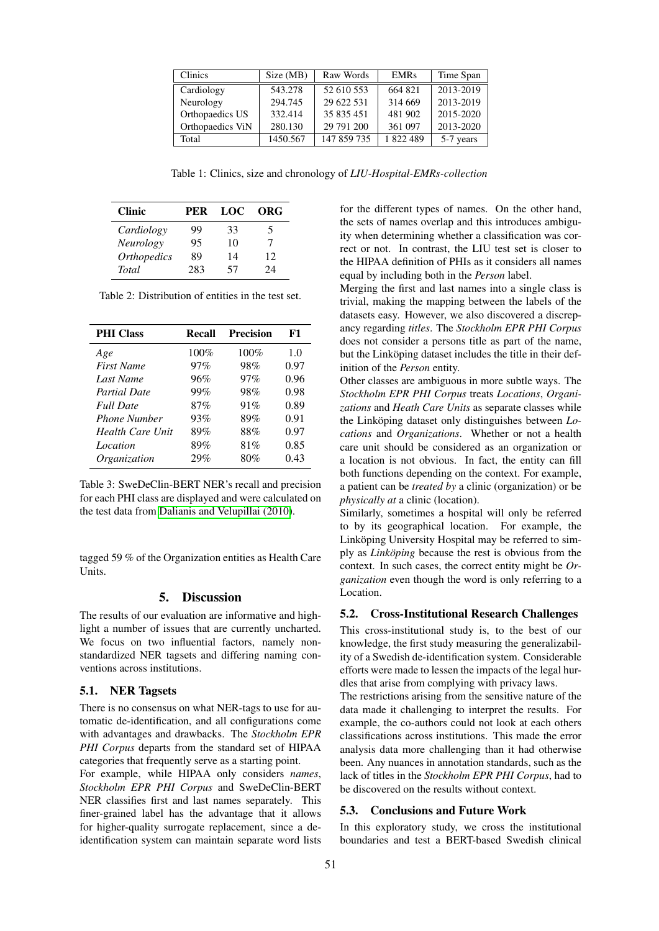| <b>Clinics</b>   | Size (MB) | Raw Words   | <b>EMRs</b> | Time Span |
|------------------|-----------|-------------|-------------|-----------|
| Cardiology       | 543.278   | 52 610 553  | 664 821     | 2013-2019 |
| Neurology        | 294.745   | 29 622 531  | 314 669     | 2013-2019 |
| Orthopaedics US  | 332.414   | 35 835 451  | 481 902     | 2015-2020 |
| Orthopaedics ViN | 280.130   | 29 791 200  | 361 097     | 2013-2020 |
| Total            | 1450.567  | 147 859 735 | 1822489     | 5-7 years |

<span id="page-2-0"></span>Table 1: Clinics, size and chronology of *LIU-Hospital-EMRs-collection*

| <b>Clinic</b>      | PER | LOC | ORG |
|--------------------|-----|-----|-----|
| Cardiology         | 99  | 33  | 5   |
| Neurology          | 95  | 10  |     |
| <b>Orthopedics</b> | 89  | 14  | 12  |
| <b>Total</b>       | 283 | 57  | 24  |

<span id="page-2-1"></span>Table 2: Distribution of entities in the test set.

| <b>PHI Class</b>        | Recall  | <b>Precision</b> | F1   |
|-------------------------|---------|------------------|------|
| Age                     | $100\%$ | 100%             | 1.0  |
| <b>First Name</b>       | 97%     | 98%              | 0.97 |
| Last Name               | 96%     | 97%              | 0.96 |
| <b>Partial Date</b>     | 99%     | 98%              | 0.98 |
| <b>Full Date</b>        | 87%     | 91%              | 0.89 |
| <b>Phone Number</b>     | 93%     | 89%              | 0.91 |
| <b>Health Care Unit</b> | 89%     | 88%              | 0.97 |
| Location                | 89%     | 81%              | 0.85 |
| Organization            | 29%     | 80%              | 0.43 |

Table 3: SweDeClin-BERT NER's recall and precision for each PHI class are displayed and were calculated on the test data from [Dalianis and Velupillai \(2010\)](#page-3-11).

tagged 59 % of the Organization entities as Health Care Units.

# 5. Discussion

The results of our evaluation are informative and highlight a number of issues that are currently uncharted. We focus on two influential factors, namely nonstandardized NER tagsets and differing naming conventions across institutions.

#### 5.1. NER Tagsets

There is no consensus on what NER-tags to use for automatic de-identification, and all configurations come with advantages and drawbacks. The *Stockholm EPR PHI Corpus* departs from the standard set of HIPAA categories that frequently serve as a starting point.

For example, while HIPAA only considers *names*, *Stockholm EPR PHI Corpus* and SweDeClin-BERT NER classifies first and last names separately. This finer-grained label has the advantage that it allows for higher-quality surrogate replacement, since a deidentification system can maintain separate word lists

for the different types of names. On the other hand, the sets of names overlap and this introduces ambiguity when determining whether a classification was correct or not. In contrast, the LIU test set is closer to the HIPAA definition of PHIs as it considers all names equal by including both in the *Person* label.

Merging the first and last names into a single class is trivial, making the mapping between the labels of the datasets easy. However, we also discovered a discrepancy regarding *titles*. The *Stockholm EPR PHI Corpus* does not consider a persons title as part of the name, but the Linköping dataset includes the title in their definition of the *Person* entity.

Other classes are ambiguous in more subtle ways. The *Stockholm EPR PHI Corpus* treats *Locations*, *Organizations* and *Heath Care Units* as separate classes while the Linköping dataset only distinguishes between *Locations* and *Organizations*. Whether or not a health care unit should be considered as an organization or a location is not obvious. In fact, the entity can fill both functions depending on the context. For example, a patient can be *treated by* a clinic (organization) or be *physically at* a clinic (location).

Similarly, sometimes a hospital will only be referred to by its geographical location. For example, the Linköping University Hospital may be referred to simply as *Linkoping* because the rest is obvious from the context. In such cases, the correct entity might be *Organization* even though the word is only referring to a Location.

## 5.2. Cross-Institutional Research Challenges

This cross-institutional study is, to the best of our knowledge, the first study measuring the generalizability of a Swedish de-identification system. Considerable efforts were made to lessen the impacts of the legal hurdles that arise from complying with privacy laws.

The restrictions arising from the sensitive nature of the data made it challenging to interpret the results. For example, the co-authors could not look at each others classifications across institutions. This made the error analysis data more challenging than it had otherwise been. Any nuances in annotation standards, such as the lack of titles in the *Stockholm EPR PHI Corpus*, had to be discovered on the results without context.

#### 5.3. Conclusions and Future Work

In this exploratory study, we cross the institutional boundaries and test a BERT-based Swedish clinical